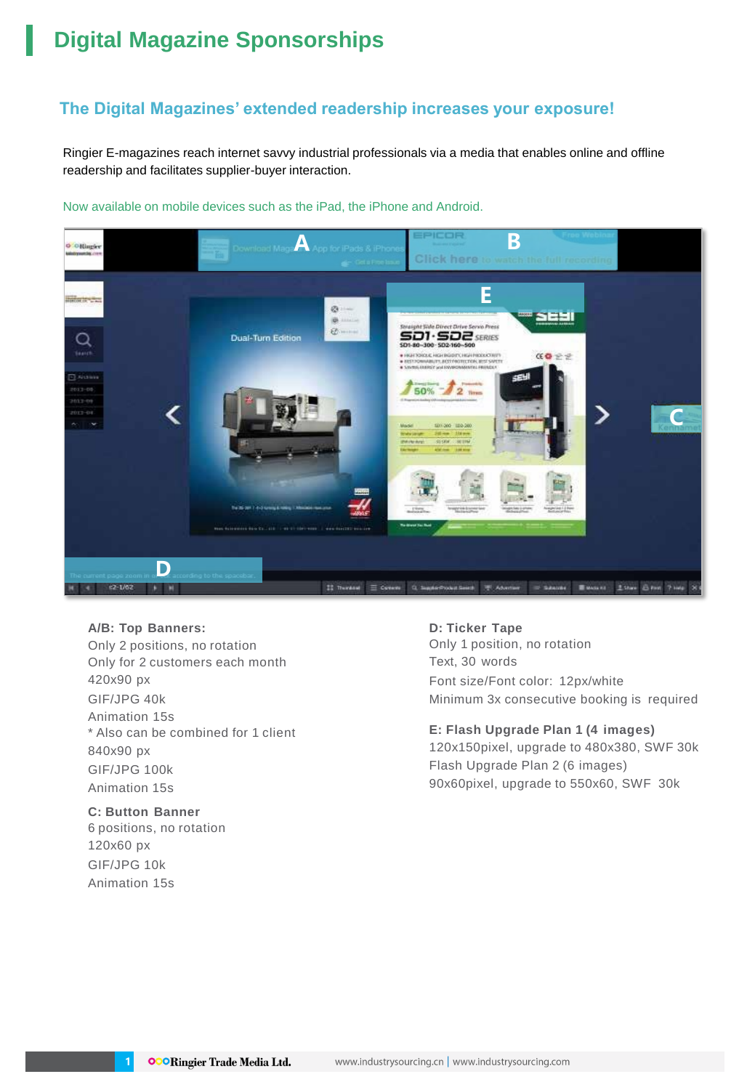## **Digital Magazine Sponsorships**

## **The Digital Magazines' extended readership increases your exposure!**

Ringier E-magazines reach internet savvy industrial professionals via a media that enables online and offline readership and facilitates supplier-buyer interaction.



Now available on mobile devices such as the iPad, the iPhone and Android.

#### **A/B: Top Banners:**

Only 2 positions, no rotation Only for 2 customers each month 420x90 px GIF/JPG 40k Animation 15s \* Also can be combined for 1 client 840x90 px GIF/JPG 100k Animation 15s

### **C: Button Banner** 6 positions, no rotation

120x60 px GIF/JPG 10k Animation 15s

**1**

#### **D: Ticker Tape**

Only 1 position, no rotation Text, 30 words Font size/Font color: 12px/white Minimum 3x consecutive booking is required

**E: Flash Upgrade Plan 1 (4 images)** 120x150pixel, upgrade to 480x380, SWF 30k Flash Upgrade Plan 2 (6 images) 90x60pixel, upgrade to 550x60, SWF 30k